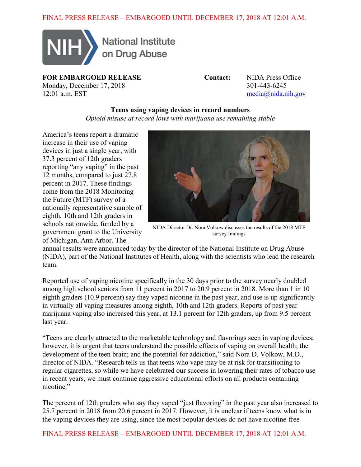

National Institute on Drug Abuse

**FOR EMBARGOED RELEASE Contact:** NIDA Press Office Monday, December 17, 2018<br>12:01 a m EST media@nida n

 $median<sub>a</sub>$  media $a<sub>b</sub>$  media $a<sub>c</sub>$  media

## **Teens using vaping devices in record numbers**

*Opioid misuse at record lows with marijuana use remaining stable*

America's teens report a dramatic increase in their use of vaping devices in just a single year, with 37.3 percent of 12th graders reporting "any vaping" in the past 12 months, compared to just 27.8 percent in 2017. These findings come from the 2018 Monitoring the Future (MTF) survey of a nationally representative sample of eighth, 10th and 12th graders in schools nationwide, funded by a government grant to the University of Michigan, Ann Arbor. The



NIDA Director Dr. Nora Volkow discusses the results of the 2018 MTF survey findings

annual results were announced today by the director of the National Institute on Drug Abuse (NIDA), part of the National Institutes of Health, along with the scientists who lead the research team.

Reported use of vaping nicotine specifically in the 30 days prior to the survey nearly doubled among high school seniors from 11 percent in 2017 to 20.9 percent in 2018. More than 1 in 10 eighth graders (10.9 percent) say they vaped nicotine in the past year, and use is up significantly in virtually all vaping measures among eighth, 10th and 12th graders. Reports of past year marijuana vaping also increased this year, at 13.1 percent for 12th graders, up from 9.5 percent last year.

"Teens are clearly attracted to the marketable technology and flavorings seen in vaping devices; however, it is urgent that teens understand the possible effects of vaping on overall health; the development of the teen brain; and the potential for addiction," said Nora D. Volkow, M.D., director of NIDA. "Research tells us that teens who vape may be at risk for transitioning to regular cigarettes, so while we have celebrated our success in lowering their rates of tobacco use in recent years, we must continue aggressive educational efforts on all products containing nicotine."

The percent of 12th graders who say they vaped "just flavoring" in the past year also increased to 25.7 percent in 2018 from 20.6 percent in 2017. However, it is unclear if teens know what is in the vaping devices they are using, since the most popular devices do not have nicotine-free

FINAL PRESS RELEASE – EMBARGOED UNTIL DECEMBER 17, 2018 AT 12:01 A.M.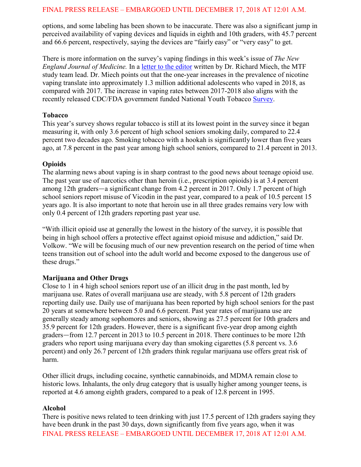options, and some labeling has been shown to be inaccurate. There was also a significant jump in perceived availability of vaping devices and liquids in eighth and 10th graders, with 45.7 percent and 66.6 percent, respectively, saying the devices are "fairly easy" or "very easy" to get.

There is more information on the survey's vaping findings in this week's issue of *The New England Journal of Medicine.* In a [letter to the editor](http://www.nejm.org/doi/full/10.1056/NEJMc1814130) written by Dr. Richard Miech, the MTF study team lead. Dr. Miech points out that the one-year increases in the prevalence of nicotine vaping translate into approximately 1.3 million additional adolescents who vaped in 2018, as compared with 2017. The increase in vaping rates between 2017-2018 also aligns with the recently released CDC/FDA government funded National Youth Tobacco [Survey.](https://www.fda.gov/TobaccoProducts/PublicHealthEducation/ProtectingKidsfromTobacco/ucm405173.htm)

### **Tobacco**

This year's survey shows regular tobacco is still at its lowest point in the survey since it began measuring it, with only 3.6 percent of high school seniors smoking daily, compared to 22.4 percent two decades ago. Smoking tobacco with a hookah is significantly lower than five years ago, at 7.8 percent in the past year among high school seniors, compared to 21.4 percent in 2013.

### **Opioids**

The alarming news about vaping is in sharp contrast to the good news about teenage opioid use. The past year use of narcotics other than heroin (i.e., prescription opioids) is at 3.4 percent among 12th graders—a significant change from 4.2 percent in 2017. Only 1.7 percent of high school seniors report misuse of Vicodin in the past year, compared to a peak of 10.5 percent 15 years ago. It is also important to note that heroin use in all three grades remains very low with only 0.4 percent of 12th graders reporting past year use.

"With illicit opioid use at generally the lowest in the history of the survey, it is possible that being in high school offers a protective effect against opioid misuse and addiction," said Dr. Volkow. "We will be focusing much of our new prevention research on the period of time when teens transition out of school into the adult world and become exposed to the dangerous use of these drugs."

### **Marijuana and Other Drugs**

Close to 1 in 4 high school seniors report use of an illicit drug in the past month, led by marijuana use. Rates of overall marijuana use are steady, with 5.8 percent of 12th graders reporting daily use. Daily use of marijuana has been reported by high school seniors for the past 20 years at somewhere between 5.0 and 6.6 percent. Past year rates of marijuana use are generally steady among sophomores and seniors, showing as 27.5 percent for 10th graders and 35.9 percent for 12th graders. However, there is a significant five-year drop among eighth graders—from 12.7 percent in 2013 to 10.5 percent in 2018. There continues to be more 12th graders who report using marijuana every day than smoking cigarettes (5.8 percent vs. 3.6 percent) and only 26.7 percent of 12th graders think regular marijuana use offers great risk of harm.

Other illicit drugs, including cocaine, synthetic cannabinoids, and MDMA remain close to historic lows. Inhalants, the only drug category that is usually higher among younger teens, is reported at 4.6 among eighth graders, compared to a peak of 12.8 percent in 1995.

### **Alcohol**

FINAL PRESS RELEASE – EMBARGOED UNTIL DECEMBER 17, 2018 AT 12:01 A.M. There is positive news related to teen drinking with just 17.5 percent of 12th graders saying they have been drunk in the past 30 days, down significantly from five years ago, when it was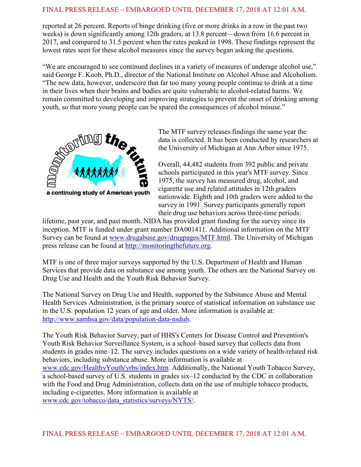reported at 26 percent. Reports of binge drinking (five or more drinks in a row in the past two weeks) is down significantly among 12th graders, at 13.8 percent—down from 16.6 percent in 2017, and compared to 31.5 percent when the rates peaked in 1998. These findings represent the lowest rates seen for these alcohol measures since the survey began asking the questions.

"We are encouraged to see continued declines in a variety of measures of underage alcohol use," said George F. Koob, Ph.D., director of the National Institute on Alcohol Abuse and Alcoholism. "The new data, however, underscore that far too many young people continue to drink at a time in their lives when their brains and bodies are quite vulnerable to alcohol-related harms. We remain committed to developing and improving strategies to prevent the onset of drinking among youth, so that more young people can be spared the consequences of alcohol misuse."



The MTF survey releases findings the same year the data is collected. It has been conducted by researchers at the University of Michigan at Ann Arbor since 1975.

Overall, 44,482 students from 392 public and private schools participated in this year's MTF survey. Since 1975, the survey has measured drug, alcohol, and cigarette use and related attitudes in 12th graders nationwide. Eighth and 10th graders were added to the survey in 1991. Survey participants generally report their drug use behaviors across three-time periods:

lifetime, past year, and past month. NIDA has provided grant funding for the survey since its inception. MTF is funded under grant number DA001411. Additional information on the MTF Survey can be found at [www.drugabuse.gov/drugpages/MTF.html.](http://www.drugabuse.gov/drugpages/MTF.html) The University of Michigan press release can be found at [http://monitoringthefuture.org.](http://monitoringthefuture.org/)

MTF is one of three major surveys supported by the U.S. Department of Health and Human Services that provide data on substance use among youth. The others are the National Survey on Drug Use and Health and the Youth Risk Behavior Survey.

The National Survey on Drug Use and Health, supported by the Substance Abuse and Mental Health Services Administration, is the primary source of statistical information on substance use in the U.S. population 12 years of age and older. More information is available at: [http://www.samhsa.gov/data/population-data-nsduh.](http://www.samhsa.gov/data/population-data-nsduh)

The Youth Risk Behavior Survey, part of HHS's Centers for Disease Control and Prevention's Youth Risk Behavior Surveillance System, is a school–based survey that collects data from students in grades nine–12. The survey includes questions on a wide variety of health-related risk behaviors, including substance abuse. More information is available at [www.cdc.gov/HealthyYouth/yrbs/index.htm.](http://www.cdc.gov/HealthyYouth/yrbs/index.htm) Additionally, the National Youth Tobacco Survey, a school-based survey of U.S. students in grades six–12 conducted by the CDC in collaboration with the Food and Drug Administration, collects data on the use of multiple tobacco products, including e-cigarettes. More information is available at [www.cdc.gov/tobacco/data\\_statistics/surveys/NYTS/.](http://www.cdc.gov/tobacco/data_statistics/surveys/NYTS/)